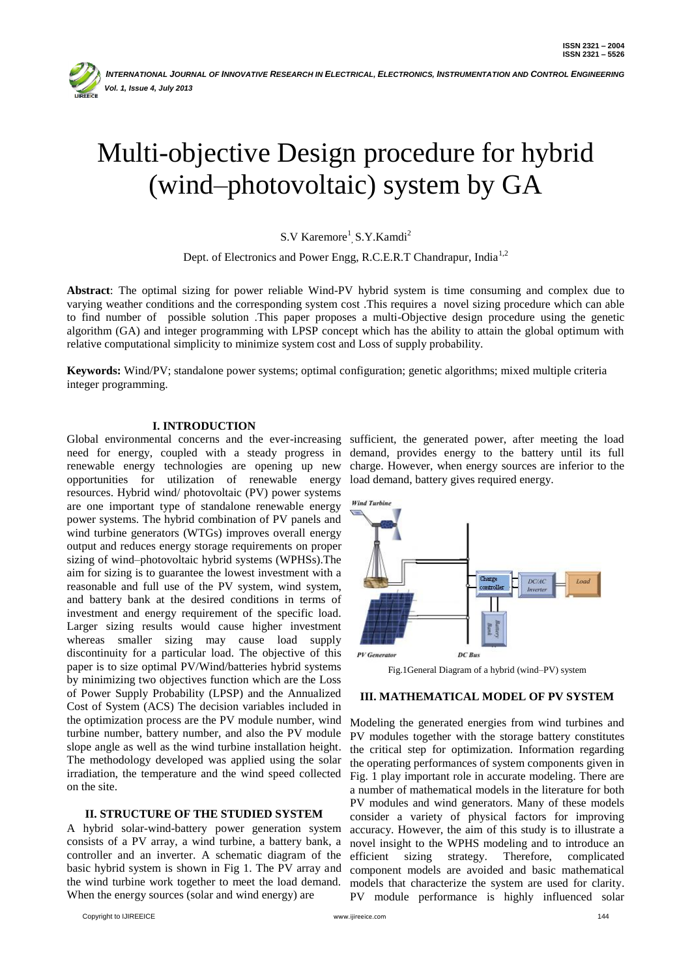

# Multi-objective Design procedure for hybrid (wind–photovoltaic) system by GA

S.V Karemore<sup>1</sup>, S.Y.Kamdi<sup>2</sup>

Dept. of Electronics and Power Engg, R.C.E.R.T Chandrapur, India<sup>1,2</sup>

**Abstract**: The optimal sizing for power reliable Wind-PV hybrid system is time consuming and complex due to varying weather conditions and the corresponding system cost .This requires a novel sizing procedure which can able to find number of possible solution .This paper proposes a multi-Objective design procedure using the genetic algorithm (GA) and integer programming with LPSP concept which has the ability to attain the global optimum with relative computational simplicity to minimize system cost and Loss of supply probability.

**Keywords:** Wind/PV; standalone power systems; optimal configuration; genetic algorithms; mixed multiple criteria integer programming.

## **I. INTRODUCTION**

need for energy, coupled with a steady progress in renewable energy technologies are opening up new opportunities for utilization of renewable energy resources. Hybrid wind/ photovoltaic (PV) power systems are one important type of standalone renewable energy power systems. The hybrid combination of PV panels and wind turbine generators (WTGs) improves overall energy output and reduces energy storage requirements on proper sizing of wind–photovoltaic hybrid systems (WPHSs).The aim for sizing is to guarantee the lowest investment with a reasonable and full use of the PV system, wind system, and battery bank at the desired conditions in terms of investment and energy requirement of the specific load. Larger sizing results would cause higher investment whereas smaller sizing may cause load supply discontinuity for a particular load. The objective of this paper is to size optimal PV/Wind/batteries hybrid systems by minimizing two objectives function which are the Loss of Power Supply Probability (LPSP) and the Annualized Cost of System (ACS) The decision variables included in the optimization process are the PV module number, wind turbine number, battery number, and also the PV module slope angle as well as the wind turbine installation height. The methodology developed was applied using the solar irradiation, the temperature and the wind speed collected on the site.

## **II. STRUCTURE OF THE STUDIED SYSTEM**

A hybrid solar-wind-battery power generation system consists of a PV array, a wind turbine, a battery bank, a controller and an inverter. A schematic diagram of the basic hybrid system is shown in Fig 1. The PV array and the wind turbine work together to meet the load demand. When the energy sources (solar and wind energy) are

Copyright to IJIREEICE www.ijireeice.com 144

Global environmental concerns and the ever-increasing sufficient, the generated power, after meeting the load demand, provides energy to the battery until its full charge. However, when energy sources are inferior to the load demand, battery gives required energy.



Fig.1General Diagram of a hybrid (wind–PV) system

#### **III. MATHEMATICAL MODEL OF PV SYSTEM**

Modeling the generated energies from wind turbines and PV modules together with the storage battery constitutes the critical step for optimization. Information regarding the operating performances of system components given in Fig. 1 play important role in accurate modeling. There are a number of mathematical models in the literature for both PV modules and wind generators. Many of these models consider a variety of physical factors for improving accuracy. However, the aim of this study is to illustrate a novel insight to the WPHS modeling and to introduce an efficient sizing strategy. Therefore, complicated component models are avoided and basic mathematical models that characterize the system are used for clarity. PV module performance is highly influenced solar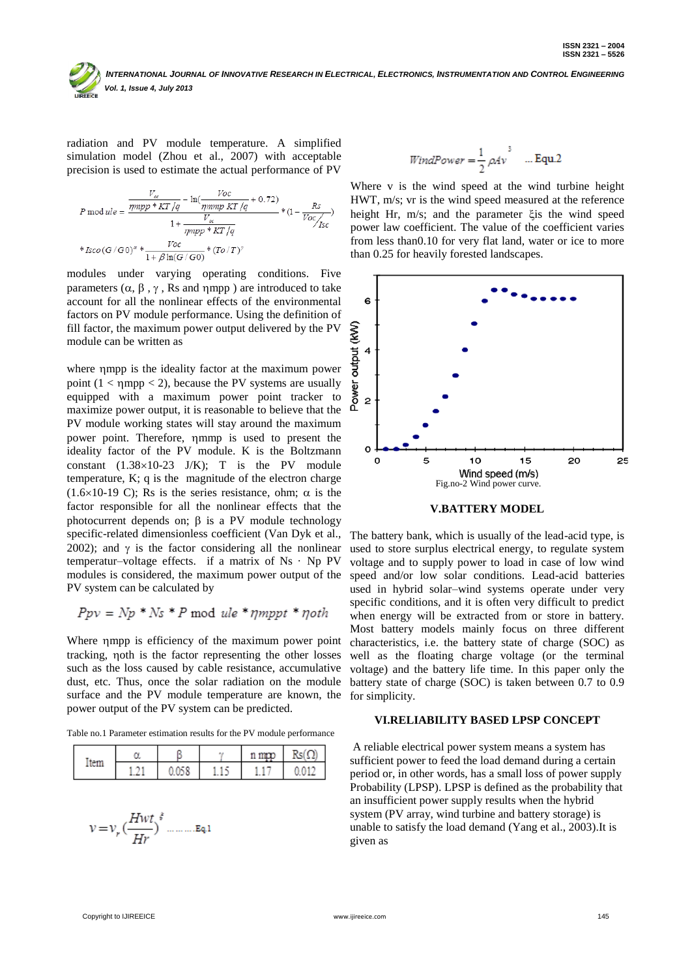radiation and PV module temperature. A simplified simulation model (Zhou et al., 2007) with acceptable precision is used to estimate the actual performance of PV

$$
P \mod ule = \frac{\frac{V_{\alpha}}{mppp * KT/q} - \ln(\frac{Voc}{mmpp KT/q} + 0.72)}{1 + \frac{V_{\alpha}}{mppp * KT/q}} * (1 - \frac{Rs}{Voc/_{ISC}})
$$
  
\*  $Isco(G/G0)^{\alpha} * \frac{Voc}{1 + \beta \ln(G/G0)} * (To/T)^{\gamma}$ 

modules under varying operating conditions. Five parameters  $(\alpha, \beta, \gamma,$  Rs and  $\eta$ mpp) are introduced to take account for all the nonlinear effects of the environmental factors on PV module performance. Using the definition of fill factor, the maximum power output delivered by the PV module can be written as

where mpp is the ideality factor at the maximum power point  $(1 <$   $\eta$ mpp  $<$  2), because the PV systems are usually equipped with a maximum power point tracker to maximize power output, it is reasonable to believe that the PV module working states will stay around the maximum power point. Therefore, mmp is used to present the ideality factor of the PV module. K is the Boltzmann constant  $(1.38\times10-23)$  J/K); T is the PV module temperature, K; q is the magnitude of the electron charge  $(1.6\times10-19)$  C; Rs is the series resistance, ohm;  $\alpha$  is the factor responsible for all the nonlinear effects that the photocurrent depends on;  $\beta$  is a PV module technology specific-related dimensionless coefficient (Van Dyk et al., 2002); and  $\gamma$  is the factor considering all the nonlinear temperatur–voltage effects. if a matrix of Ns · Np PV modules is considered, the maximum power output of the PV system can be calculated by

$$
Ppv = Np * Ns * P \mod{ule * \eta mppt * \eta oth}
$$

Where mpp is efficiency of the maximum power point tracking, noth is the factor representing the other losses such as the loss caused by cable resistance, accumulative dust, etc. Thus, once the solar radiation on the module surface and the PV module temperature are known, the for simplicity. power output of the PV system can be predicted.

Table no.1 Parameter estimation results for the PV module performance

| <b>IPTY</b> |  | ., | n moo | Rs(O) |
|-------------|--|----|-------|-------|
|             |  |    |       |       |

$$
WindPower = \frac{1}{2} \rho Av^3 \quad \dots \text{Equ.2}
$$

Where v is the wind speed at the wind turbine height HWT, m/s; vr is the wind speed measured at the reference height Hr,  $m/s$ ; and the parameter  $\xi$  is the wind speed power law coefficient. The value of the coefficient varies from less than0.10 for very flat land, water or ice to more than 0.25 for heavily forested landscapes.



**V.BATTERY MODEL**

The battery bank, which is usually of the lead-acid type, is used to store surplus electrical energy, to regulate system voltage and to supply power to load in case of low wind speed and/or low solar conditions. Lead-acid batteries used in hybrid solar–wind systems operate under very specific conditions, and it is often very difficult to predict when energy will be extracted from or store in battery. Most battery models mainly focus on three different characteristics, i.e. the battery state of charge (SOC) as well as the floating charge voltage (or the terminal voltage) and the battery life time. In this paper only the battery state of charge (SOC) is taken between 0.7 to 0.9

# **VI.RELIABILITY BASED LPSP CONCEPT**

A reliable electrical power system means a system has sufficient power to feed the load demand during a certain period or, in other words, has a small loss of power supply Probability (LPSP). LPSP is defined as the probability that an insufficient power supply results when the hybrid system (PV array, wind turbine and battery storage) is unable to satisfy the load demand (Yang et al., 2003).It is given as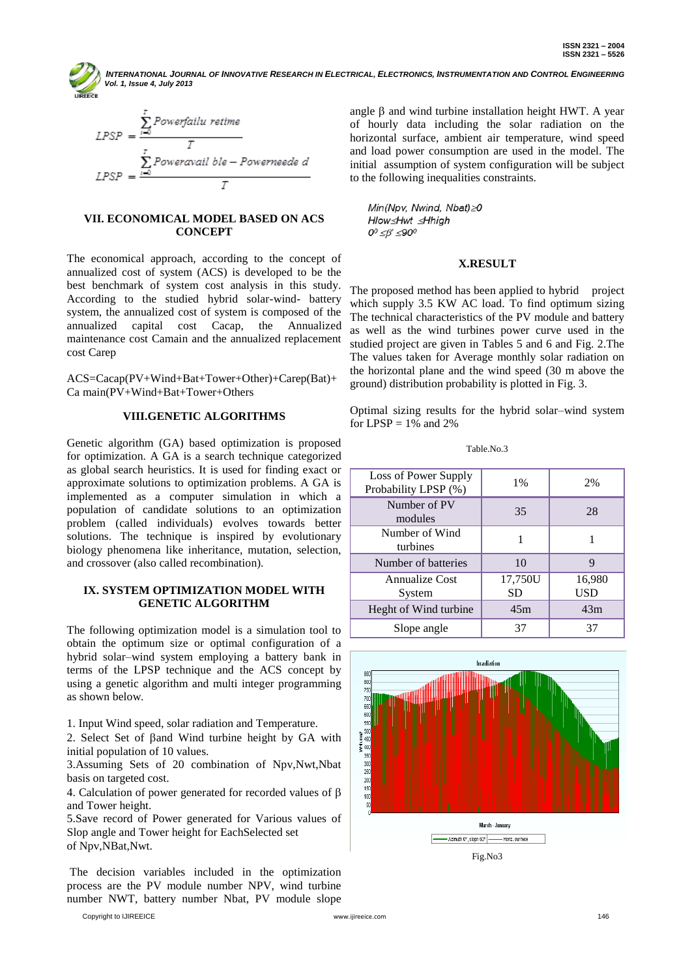$$
LPSP = \frac{\sum_{i=0}^{T} Power failure}{T}
$$
  
 
$$
LPSP = \frac{\sum_{i=0}^{T} Poweravailable - Powerneede d}{T}
$$

### **VII. ECONOMICAL MODEL BASED ON ACS CONCEPT**

The economical approach, according to the concept of annualized cost of system (ACS) is developed to be the best benchmark of system cost analysis in this study. According to the studied hybrid solar-wind- battery system, the annualized cost of system is composed of the annualized capital cost Cacap, the Annualized maintenance cost Camain and the annualized replacement cost Carep

ACS=Cacap(PV+Wind+Bat+Tower+Other)+Carep(Bat)+ Ca main(PV+Wind+Bat+Tower+Others

## **VIII.GENETIC ALGORITHMS**

Genetic algorithm (GA) based optimization is proposed for optimization. A GA is a search technique categorized as global search heuristics. It is used for finding exact or approximate solutions to optimization problems. A GA is implemented as a computer simulation in which a population of candidate solutions to an optimization problem (called individuals) evolves towards better solutions. The technique is inspired by evolutionary biology phenomena like inheritance, mutation, selection, and crossover (also called recombination).

# **IX. SYSTEM OPTIMIZATION MODEL WITH GENETIC ALGORITHM**

The following optimization model is a simulation tool to obtain the optimum size or optimal configuration of a hybrid solar–wind system employing a battery bank in terms of the LPSP technique and the ACS concept by using a genetic algorithm and multi integer programming as shown below.

1. Input Wind speed, solar radiation and Temperature.

2. Select Set of  $\beta$ and Wind turbine height by GA with initial population of 10 values.

3.Assuming Sets of 20 combination of Npv,Nwt,Nbat basis on targeted cost.

4. Calculation of power generated for recorded values of  $\beta$ and Tower height.

5.Save record of Power generated for Various values of Slop angle and Tower height for EachSelected set of Npv,NBat,Nwt.

The decision variables included in the optimization process are the PV module number NPV, wind turbine number NWT, battery number Nbat, PV module slope

Copyright to IJIREEICE www.ijireeice.com 146

angle  $\beta$  and wind turbine installation height HWT. A year of hourly data including the solar radiation on the horizontal surface, ambient air temperature, wind speed and load power consumption are used in the model. The initial assumption of system configuration will be subject to the following inequalities constraints.

Min(Npv, Nwind, Nbat) 20 Hlow≤Hwt ≤Hhigh  $0^0 \leq \beta' \leq 90^0$ 

## **X.RESULT**

The proposed method has been applied to hybrid project which supply 3.5 KW AC load. To find optimum sizing The technical characteristics of the PV module and battery as well as the wind turbines power curve used in the studied project are given in Tables 5 and 6 and Fig. 2.The The values taken for Average monthly solar radiation on the horizontal plane and the wind speed (30 m above the ground) distribution probability is plotted in Fig. 3.

Optimal sizing results for the hybrid solar–wind system for  $LPSP = 1\%$  and 2%

Table No.3

| Loss of Power Supply<br>Probability LPSP (%) | 1%            | 2%            |
|----------------------------------------------|---------------|---------------|
| Number of PV<br>modules                      | 35            | 28            |
| Number of Wind<br>turbines                   |               |               |
| Number of batteries                          | 10            |               |
| Annualize Cost<br>System                     | 17,750U<br>SD | 16,980<br>USD |
| Heght of Wind turbine                        | 45m           | 43m           |
| Slope angle                                  | 37            | 37            |